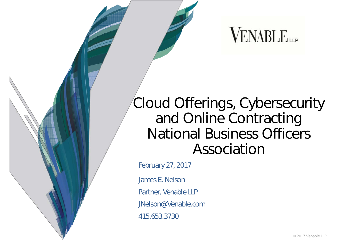### **VENABLE**

### Cloud Offerings, Cybersecurity and Online Contracting National Business Officers Association

February 27, 2017

James E. Nelson Partner, Venable LLP JNelson@Venable.com 415.653.3730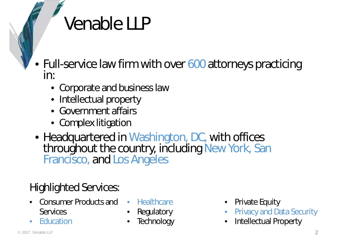### Venable LLP

- Full-service law firm with over 600 attorneys practicing in:
	- Corporate and business law
	- Intellectual property
	- Government affairs
	- Complex litigation
- Headquartered in Washington, DC, with offices throughout the country, including New York, San Francisco, and Los Angeles

#### Highlighted Services:

- Consumer Products and **Services**
- Education
- Healthcare
- **Regulatory**
- **Technology**
- Private Equity
- Privacy and Data Security
- Intellectual Property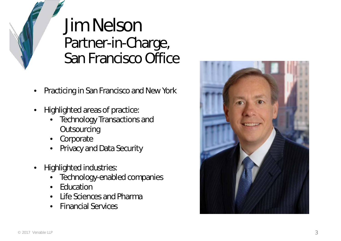### Jim Nelson Partner-in-Charge, San Francisco Office

- Practicing in San Francisco and New York
- Highlighted areas of practice:
	- **Technology Transactions and Outsourcing**
	- **Corporate**
	- Privacy and Data Security
- Highlighted industries:
	- Technology-enabled companies
	- **Education**
	- Life Sciences and Pharma
	- Financial Services

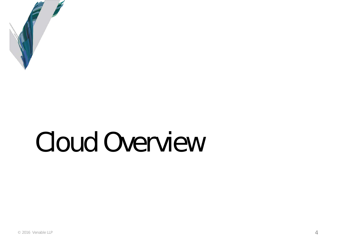

# Cloud Overview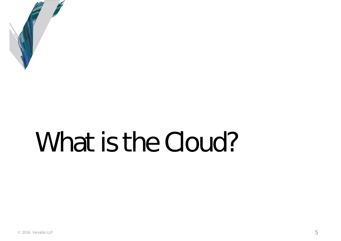

# What is the Cloud?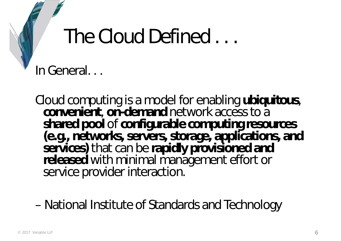### The Cloud Defined . . .

In General. . .

Cloud computing is a model for enabling **ubiquitous**, **convenient**, **on-demand** network access to a **shared pool** of **configurable computing resources (e.g., networks, servers, storage, applications, and services)** that can be **rapidly provisioned and released** with minimal management effort or service provider interaction.

– National Institute of Standards and Technology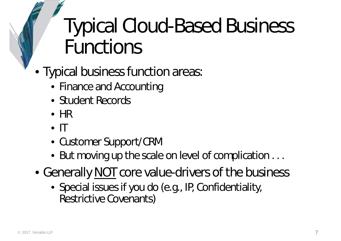### Typical Cloud-Based Business Functions

- Typical business function areas:
	- Finance and Accounting
	- Student Records
	- HR
	- $\bullet$  IT
	- Customer Support/CRM
	- But moving up the scale on level of complication . . .
- Generally NOT core value-drivers of the business
	- Special issues if you do (e.g., IP, Confidentiality, Restrictive Covenants)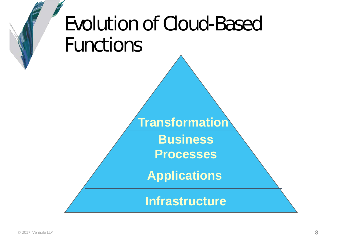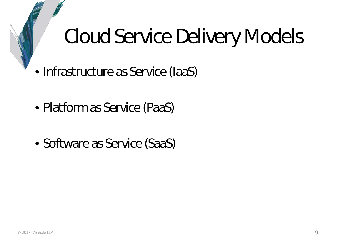### Cloud Service Delivery Models

- Infrastructure as Service (IaaS)
- Platform as Service (PaaS)
- Software as Service (SaaS)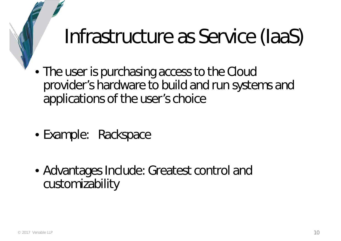### Infrastructure as Service (IaaS)

- The user is purchasing access to the Cloud provider's hardware to build and run systems and applications of the user's choice
- Example: Rackspace
- Advantages Include: Greatest control and customizability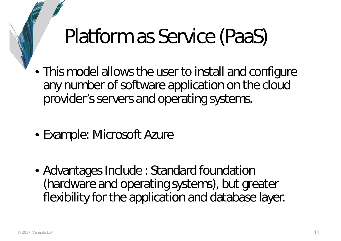### Platform as Service (PaaS)

- This model allows the user to install and configure any number of software application on the cloud provider's servers and operating systems.
- Example: Microsoft Azure
- Advantages Include : Standard foundation (hardware and operating systems), but greater flexibility for the application and database layer.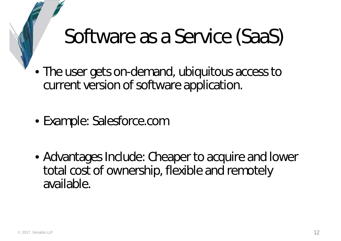### Software as a Service (SaaS)

- The user gets on-demand, ubiquitous access to current version of software application.
- Example: Salesforce.com
- Advantages Include: Cheaper to acquire and lower total cost of ownership, flexible and remotely available.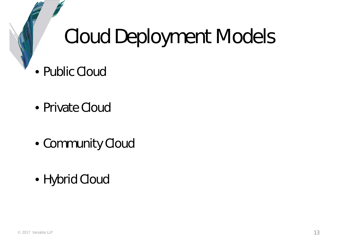### Cloud Deployment Models

- Public Cloud
- Private Cloud
- Community Cloud
- Hybrid Cloud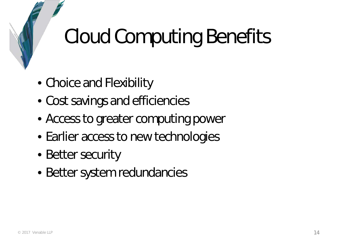## Cloud Computing Benefits

- Choice and Flexibility
- Cost savings and efficiencies
- Access to greater computing power
- Earlier access to new technologies
- Better security
- Better system redundancies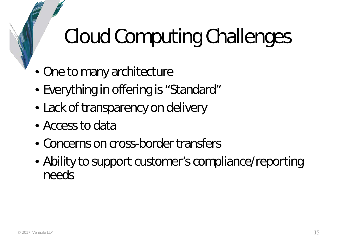## Cloud Computing Challenges

- One to many architecture
- Everything in offering is "Standard"
- Lack of transparency on delivery
- Access to data
- Concerns on cross-border transfers
- Ability to support customer's compliance/reporting needs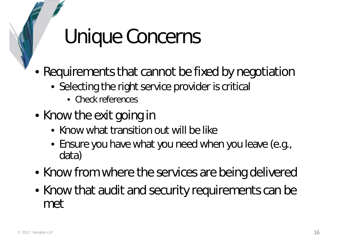### Unique Concerns

- Requirements that cannot be fixed by negotiation
	- Selecting the right service provider is critical
		- Check references
- Know the exit going in
	- Know what transition out will be like
	- Ensure you have what you need when you leave (e.g., data)
- Know from where the services are being delivered
- Know that audit and security requirements can be met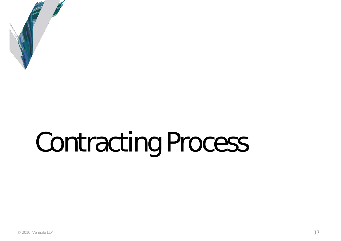

# Contracting Process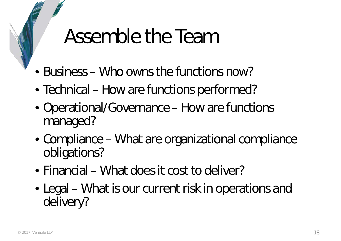### Assemble the Team

- Business Who owns the functions now?
- Technical How are functions performed?
- Operational/Governance How are functions managed?
- Compliance What are organizational compliance obligations?
- Financial What does it cost to deliver?
- Legal What is our current risk in operations and delivery?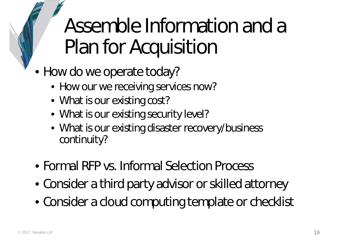Assemble Information and a Plan for Acquisition

- How do we operate today?
	- How our we receiving services now?
	- What is our existing cost?
	- What is our existing security level?
	- What is our existing disaster recovery/business continuity?
- Formal RFP vs. Informal Selection Process
- Consider a third party advisor or skilled attorney
- Consider a cloud computing template or checklist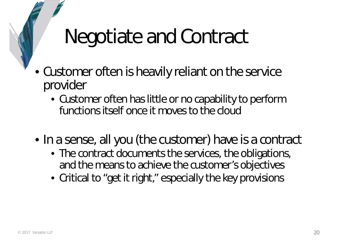### Negotiate and Contract

- Customer often is heavily reliant on the service provider
	- Customer often has little or no capability to perform functions itself once it moves to the cloud
- In a sense, all you (the customer) have is a contract
	- The contract documents the services, the obligations, and the means to achieve the customer's objectives
	- Critical to "get it right," especially the key provisions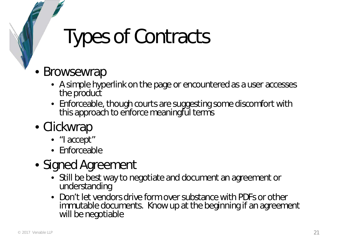### Types of Contracts

#### **Browsewrap**

- A simple hyperlink on the page or encountered as a user accesses the product
- Enforceable, though courts are suggesting some discomfort with this approach to enforce meaningful terms

#### • Clickwrap

- "I accept"
- Enforceable

#### • Signed Agreement

- Still be best way to negotiate and document an agreement or understanding
- Don't let vendors drive form over substance with PDFs or other immutable documents. Know up at the beginning if an agreement will be negotiable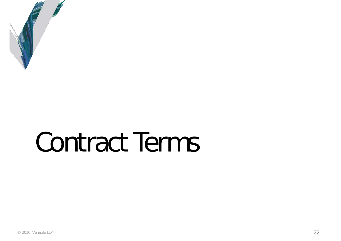

# Contract Terms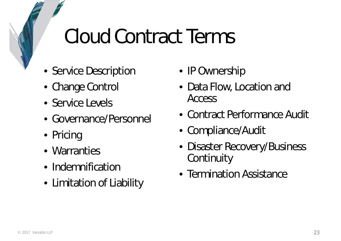### Cloud Contract Terms

- Service Description
- Change Control
- Service Levels
- Governance/Personnel
- Pricing
- Warranties
- Indemnification
- Limitation of Liability
- IP Ownership
- Data Flow, Location and Access
- Contract Performance Audit
- Compliance/Audit
- Disaster Recovery/Business **Continuity**
- Termination Assistance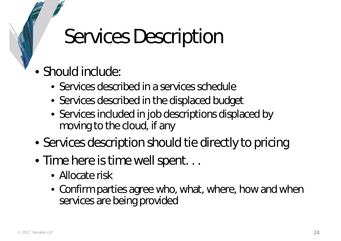### Services Description

- Should include:
	- Services described in a services schedule
	- Services described in the displaced budget
	- Services included in job descriptions displaced by moving to the cloud, if any
- Services description should tie directly to pricing
- Time here is time well spent...
	- Allocate risk
	- Confirm parties agree who, what, where, how and when services are being provided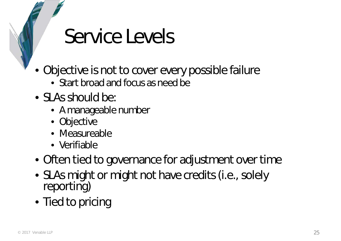### Service Levels

- Objective is not to cover every possible failure
	- Start broad and focus as need be
- SLAs should be:
	- A manageable number
	- Objective
	- Measureable
	- Verifiable
- Often tied to governance for adjustment over time
- SLAs might or might not have credits (i.e., solely reporting)
- Tied to pricing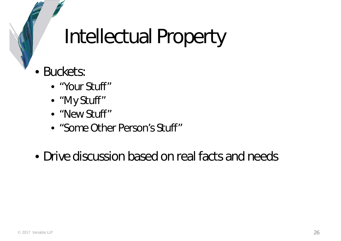## Intellectual Property

- Buckets:
	- "Your Stuff"
	- "My Stuff"
	- "New Stuff"
	- "Some Other Person's Stuff"
- Drive discussion based on real facts and needs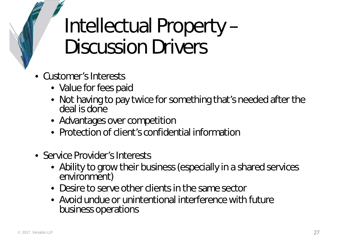### Intellectual Property – Discussion Drivers

- Customer's Interests
	- Value for fees paid
	- Not having to pay twice for something that's needed after the deal is done
	- Advantages over competition
	- Protection of client's confidential information
- Service Provider's Interests
	- Ability to grow their business (especially in a shared services environment)
	- Desire to serve other clients in the same sector
	- Avoid undue or unintentional interference with future business operations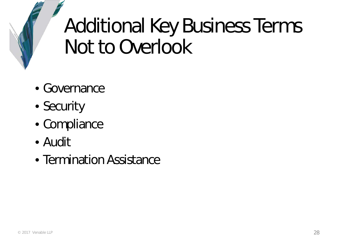## Additional Key Business Terms Not to Overlook

- Governance
- Security
- Compliance
- Audit
- Termination Assistance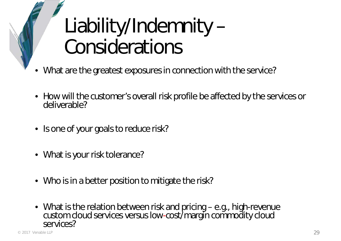## Liability/Indemnity – Considerations

- What are the greatest exposures in connection with the service?
- How will the customer's overall risk profile be affected by the services or deliverable?
- Is one of your goals to reduce risk?
- What is your risk tolerance?
- Who is in a better position to mitigate the risk?
- What is the relation between risk and pricing e.g., high-revenue custom cloud services versus low-cost/margin commodity cloud services?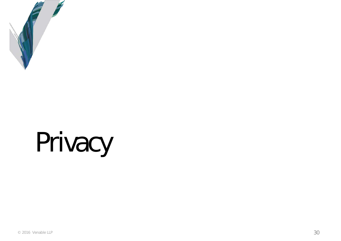

# Privacy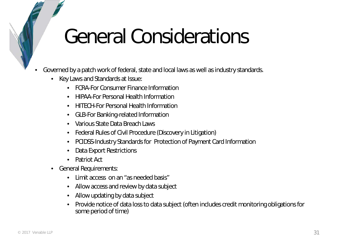### General Considerations

- Governed by a patch work of federal, state and local laws as well as industry standards.
	- Key Laws and Standards at Issue:
		- FCRA-For Consumer Finance Information
		- HIPAA-For Personal Health Information
		- HITECH-For Personal Health Information
		- GLB-For Banking-related Information
		- Various State Data Breach Laws
		- Federal Rules of Civil Procedure (Discovery in Litigation)
		- PCIDSS-Industry Standards for Protection of Payment Card Information
		- Data Export Restrictions
		- Patriot Act
	- General Requirements:
		- Limit access on an "as needed basis"
		- Allow access and review by data subject
		- Allow updating by data subject
		- Provide notice of data loss to data subject (often includes credit monitoring obligations for some period of time)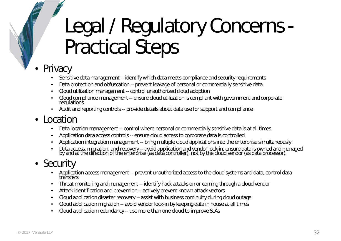### Legal / Regulatory Concerns - Practical Steps

#### **Privacy**

- Sensitive data management -- identify which data meets compliance and security requirements
- Data protection and obfuscation -- prevent leakage of personal or commercially sensitive data
- Cloud utilization management -- control unauthorized cloud adoption
- Cloud compliance management -- ensure cloud utilization is compliant with government and corporate regulations
- Audit and reporting controls -- provide details about data use for support and compliance

#### **Location**

- Data location management -- control where personal or commercially sensitive data is at all times
- Application data access controls -- ensure cloud access to corporate data is controlled
- Application integration management -- bring multiple cloud applications into the enterprise simultaneously
- Data access, migration, and recovery -- avoid application and vendor lock-in, ensure data is owned and managed by and at the diřection of the enterprise (as data controller), not by the cloud vendor (as data processor).

#### • Security

- Application access management -- prevent unauthorized access to the cloud systems and data, control data transfers
- Threat monitoring and management -- identify hack attacks on or coming through a cloud vendor
- Attack identification and prevention -- actively prevent known attack vectors
- Cloud application disaster recovery -- assist with business continuity during cloud outage
- Cloud application migration -- avoid vendor lock-in by keeping data in house at all times
- Cloud application redundancy -- use more than one cloud to improve SLAs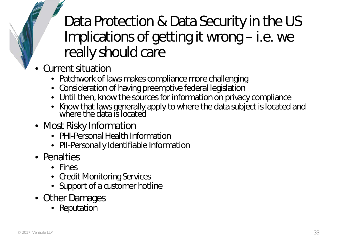### Data Protection & Data Security in the US Implications of getting it wrong – i.e. we really should care

- Current situation
	- Patchwork of laws makes compliance more challenging
	- Consideration of having preemptive federal legislation
	- Until then, know the sources for information on privacy compliance
	- Know that laws generally apply to where the data subject is located and where the data is located
- Most Risky Information
	- PHI-Personal Health Information
	- PII-Personally Identifiable Information
- Penalties
	- Fines
	- Credit Monitoring Services
	- Support of a customer hotline
- Other Damages
	- Reputation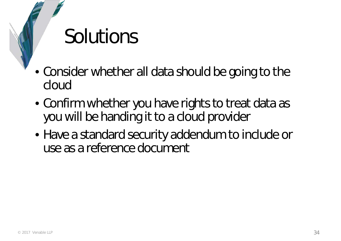### Solutions

- Consider whether all data should be going to the cloud
- Confirm whether you have rights to treat data as you will be handing it to a cloud provider
- Have a standard security addendum to include or use as a reference document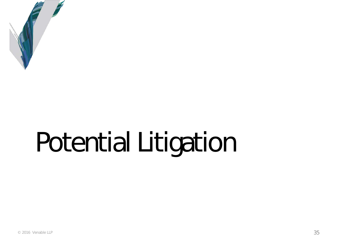

# Potential Litigation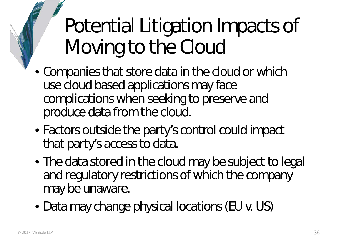Potential Litigation Impacts of Moving to the Cloud

- Companies that store data in the cloud or which use cloud based applications may face complications when seeking to preserve and produce data from the cloud.
- Factors outside the party's control could impact that party's access to data.
- The data stored in the cloud may be subject to legal and regulatory restrictions of which the company may be unaware.
- Data may change physical locations (EU v. US)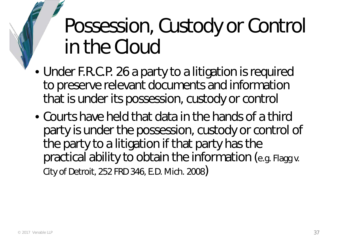### Possession, Custody or Control in the Cloud

- Under F.R.C.P. 26 a party to a litigation is required to preserve relevant documents and information that is under its possession, custody or control
- Courts have held that data in the hands of a third party is under the possession, custody or control of the party to a litigation if that party has the practical ability to obtain the information (e.g. Flagg v. City of Detroit, 252 FRD 346, E.D. Mich. 2008)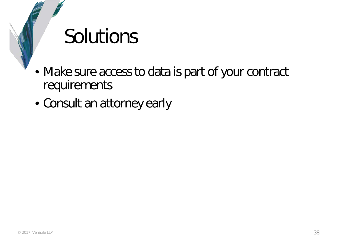### Solutions

- Make sure access to data is part of your contract requirements
- Consult an attorney early